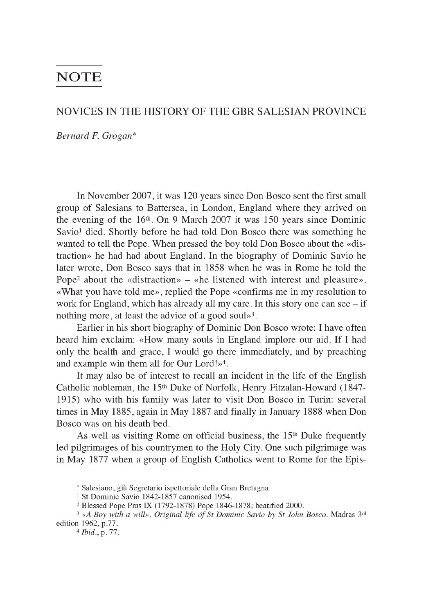## **NOTE**

## **NOVICES IN THE HISTORY OF THE GBR SALESIAN PROVINCE**

*Bernard F. Grogan*\*

In November 2007, it was 120 years since Don Bosco sent the first small group of Salesians to Battersea, in London, England where they arrived on the evening of the  $16<sup>th</sup>$ . On 9 March 2007 it was 150 years since Dominic Savio<sup>1</sup> died. Shortly before he had told Don Bosco there was something he wanted to tell the Pope. When pressed the boy told Don Bosco about the «distraction» he had had about England. In the biography of Dominic Savio he later wrote, Don Bosco says that in 1858 when he was in Rome he told the Pope<sup>2</sup> about the «distraction» – «he listened with interest and pleasure». «What you have told me», replied the Pope «confirms me in my resolution to work for England, which has already all my care. In this story one can see  $-$  if nothing more, at least the advice of a good soul»3.

Earlier in his short biography of Dominic Don Bosco wrote: I have often heard him exclaim: «How many souls in England implore our aid. If I had only the health and grace, I would go there immediately, and by preaching and example win them all for Our Lord!»4.

It may also be of interest to recall an incident in the life of the English Catholic nobleman, the 15<sup>th</sup> Duke of Norfolk, Henry Fitzalan-Howard (1847-1915) who with his family was later to visit Don Bosco in Turin: several times in May 1885, again in May 1887 and finally in January 1888 when Don Bosco was on his death bed.

As well as visiting Rome on official business, the 15<sup>th</sup> Duke frequently led pilgrimages of his countrymen to the Holy City. One such pilgrimage was in May 1877 when a group of English Catholics went to Rome for the Epis

<sup>\*</sup> Salesiano, gia Segretario ispettoriale della Gran Bretagna.

<sup>1</sup> St Dominic Savio 1842-1857 canonised 1954.

<sup>2</sup> Blessed Pope Pius IX (1792-1878) Pope 1846-1878; beatified 2000.

<sup>&</sup>lt;sup>3</sup> «A Boy with a will». Original life of St Dominic Savio by St John Bosco. Madras 3rd edition 1962, p.77.

<sup>4</sup> *Ibid.,* p. 77.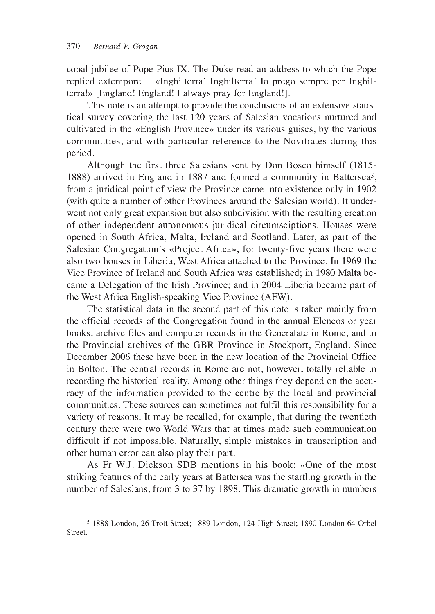copal jubilee of Pope Pius IX. The Duke read an address to which the Pope replied extempore... «Inghilterra! Inghilterra! Io prego sempre per Inghilterra!» [England! England! I always pray for England!].

This note is an attempt to provide the conclusions of an extensive statistical survey covering the last 120 years of Salesian vocations nurtured and cultivated in the «English Province» under its various guises, by the various communities, and with particular reference to the Novitiates during this period.

Although the first three Salesians sent by Don Bosco himself (1815 1888) arrived in England in 1887 and formed a community in Battersea5, from a juridical point of view the Province came into existence only in 1902 (with quite a number of other Provinces around the Salesian world). It underwent not only great expansion but also subdivision with the resulting creation of other independent autonomous juridical circumsciptions. Houses were opened in South Africa, Malta, Ireland and Scotland. Later, as part of the Salesian Congregation's «Project Africa», for twenty-five years there were also two houses in Liberia, West Africa attached to the Province. In 1969 the Vice Province of Ireland and South Africa was established; in 1980 Malta became a Delegation of the Irish Province; and in 2004 Liberia became part of the West Africa English-speaking Vice Province (AFW).

The statistical data in the second part of this note is taken mainly from the official records of the Congregation found in the annual Elencos or year books, archive files and computer records in the Generalate in Rome, and in the Provincial archives of the GBR Province in Stockport, England. Since December 2006 these have been in the new location of the Provincial Office in Bolton. The central records in Rome are not, however, totally reliable in recording the historical reality. Among other things they depend on the accuracy of the information provided to the centre by the local and provincial communities. These sources can sometimes not fulfil this responsibility for a variety of reasons. It may be recalled, for example, that during the twentieth century there were two World Wars that at times made such communication difficult if not impossible. Naturally, simple mistakes in transcription and other human error can also play their part.

As Fr W.J. Dickson SDB mentions in his book: «One of the most striking features of the early years at Battersea was the startling growth in the number of Salesians, from 3 to 37 by 1898. This dramatic growth in numbers

<sup>5 1888</sup> London, 26 Trott Street; 1889 London, 124 High Street; 1890-London 64 Orbel Street.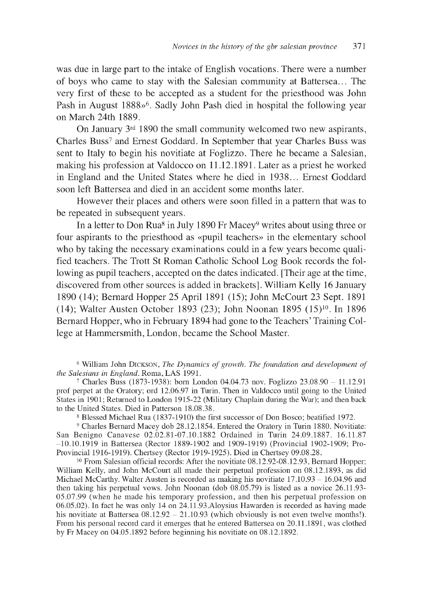was due in large part to the intake of English vocations. There were a number of boys who came to stay with the Salesian community at Battersea... The very first of these to be accepted as a student for the priesthood was John Pash in August 1888»<sup>6</sup>. Sadly John Pash died in hospital the following year on March 24th 1889.

On January 3rd 1890 the small community welcomed two new aspirants, Charles Buss7 and Ernest Goddard. In September that year Charles Buss was sent to Italy to begin his novitiate at Foglizzo. There he became a Salesian, making his profession at Valdocco on 11.12.1891. Later as a priest he worked in England and the United States where he died in 1938... Ernest Goddard soon left Battersea and died in an accident some months later.

However their places and others were soon filled in a pattern that was to be repeated in subsequent years.

In a letter to Don Rua<sup>8</sup> in July 1890 Fr Macey<sup>9</sup> writes about using three or four aspirants to the priesthood as «pupil teachers» in the elementary school who by taking the necessary examinations could in a few years become qualified teachers. The Trott St Roman Catholic School Log Book records the following as pupil teachers, accepted on the dates indicated. [Their age at the time, discovered from other sources is added in brackets]. William Kelly 16 January 1890 (14); Bernard Hopper 25 April 1891 (15); John McCourt 23 Sept. 1891 (14); Walter Austen October 1893 (23); John Noonan 1895 (15)10. In 1896 Bernard Hopper, who in February 1894 had gone to the Teachers' Training College at Hammersmith, London, became the School Master.

<sup>6</sup> William John DICKSON, *The Dynamics of growth*. The foundation and development of *the Salesians in England.* Roma, LAS 1991.

7 Charles Buss (1873-1938): born London 04.04.73 nov. Foglizzo 23.08.90 - 11.12.91 prof perpet at the Oratory; ord 12.06.97 in Turin. Then in Valdocco until going to the United States in 1901; Returned to London 1915-22 (Military Chaplain during the War); and then back to the United States. Died in Patterson 18.08.38.

8 Blessed Michael Rua (1837-1910) the first successor of Don Bosco; beatified 1972.

9 Charles Bernard Macey dob 28.12.1854. Entered the Oratory in Turin 1880. Novitiate: San Benigno Canavese 02.02.81-07.10.1882 Ordained in Turin 24.09.1887. 16.11.87 -10.10.1919 in Battersea (Rector 1889-1902 and 1909-1919) (Provincial 1902-1909; Pro-Provincial 1916-1919). Chertsey (Rector 1919-1925). Died in Chertsey 09.08.28.

10 From Salesian official records: After the novitiate 08.12.92-08.12.93, Bernard Hopper; William Kelly, and John McCourt all made their perpetual profession on 08.12.1893, as did Michael McCarthy. Walter Austen is recorded as making his novitiate 17.10.93 - 16.04.96 and then taking his perpetual vows. John Noonan (dob 08.05.79) is listed as a novice 26.11.93 05.07.99 (when he made his temporary profession, and then his perpetual profession on 06.05.02). In fact he was only 14 on 24.11.93.Aloysius Hawarden is recorded as having made his novitiate at Battersea  $08.12.92 - 21.10.93$  (which obviously is not even twelve months!). From his personal record card it emerges that he entered Battersea on 20.11.1891, was clothed by Fr Macey on 04.05.1892 before beginning his novitiate on 08.12.1892.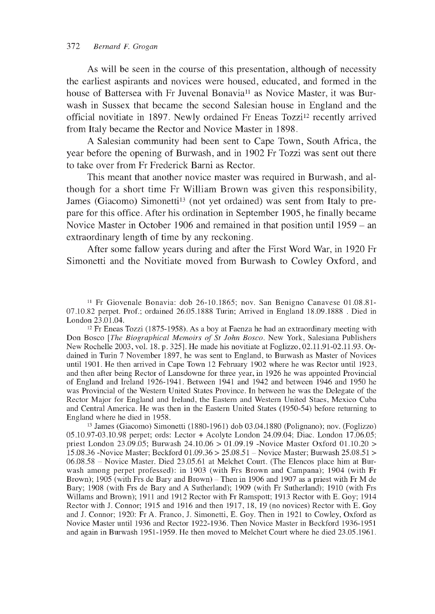As will be seen in the course of this presentation, although of necessity the earliest aspirants and novices were housed, educated, and formed in the house of Battersea with Fr Juvenal Bonavia<sup>11</sup> as Novice Master, it was Burwash in Sussex that became the second Salesian house in England and the official novitiate in 1897. Newly ordained Fr Eneas Tozzi12 recently arrived from Italy became the Rector and Novice Master in 1898.

A Salesian community had been sent to Cape Town, South Africa, the year before the opening of Burwash, and in 1902 Fr Tozzi was sent out there to take over from Fr Frederick Barni as Rector.

This meant that another novice master was required in Burwash, and although for a short time Fr William Brown was given this responsibility, James (Giacomo) Simonetti<sup>13</sup> (not yet ordained) was sent from Italy to prepare for this office. After his ordination in September 1905, he finally became Novice Master in October 1906 and remained in that position until 1959 - an extraordinary length of time by any reckoning.

After some fallow years during and after the First Word War, in 1920 Fr Simonetti and the Novitiate moved from Burwash to Cowley Oxford, and

11 Fr Giovenale Bonavia: dob 26-10.1865; nov. San Benigno Canavese 01.08.81 07.10.82 perpet. Prof.; ordained 26.05.1888 Turin; Arrived in England 18.09.1888. Died in London 23.01.04.

12 Fr Eneas Tozzi (1875-1958). As a boy at Faenza he had an extraordinary meeting with Don Bosco *[The Biographical Memoirs of St John Bosco*. New York, Salesiana Publishers New Rochelle 2003, vol. 18. p. 325]. He made his novitiate at Foglizzo, 02.11.91-02.11.93. Ordained in Turin 7 November 1897, he was sent to England, to Burwash as Master of Novices until 1901. He then arrived in Cape Town 12 February 1902 where he was Rector until 1923, and then after being Rector of Lansdowne for three year, in 1926 he was appointed Provincial of England and Ireland 1926-1941. Between 1941 and 1942 and between 1946 and 1950 he was Provincial of the Western United States Province. In between he was the Delegate of the Rector Major for England and Ireland, the Eastern and Western United Staes, Mexico Cuba and Central America. He was then in the Eastern United States (1950-54) before returning to England where he died in 1958.

13 James (Giacomo) Simonetti (1880-1961) dob 03.04.1880 (Polignano); nov. (Foglizzo) 05.10.97-03.10.98 perpet; ords: Lector + Acolyte London 24.09.04; Diac. London 17.06.05; priest London 23.09.05; Burwash 24.10.06 > 01.09.19 -Novice Master Oxford 01.10.20 > 15.08.36 -Novice Master; Beckford 01.09.36 > 25.08.51 - Novice Master; Burwash 25.08.51 > 06.08.58 - Novice Master. Died 23.05.61 at Melchet Court. (The Elencos place him at Burwash among perpet professed): in 1903 (with Frs Brown and Campana); 1904 (with Fr Brown); 1905 (with Frs de Bary and Brown) – Then in 1906 and 1907 as a priest with Fr M de Bary; 1908 (with Frs de Bary and A Sutherland); 1909 (with Fr Sutherland); 1910 (with Frs Willams and Brown); 1911 and 1912 Rector with Fr Ramspott; 1913 Rector with E. Goy; 1914 Rector with J. Connor; 1915 and 1916 and then 1917, 18, 19 (no novices) Rector with E. Goy and J. Connor; 1920: Fr A. Franco, J. Simonetti, E. Goy. Then in 1921 to Cowley, Oxford as Novice Master until 1936 and Rector 1922-1936. Then Novice Master in Beckford 1936-1951 and again in Burwash 1951-1959. He then moved to Melchet Court where he died 23.05.1961.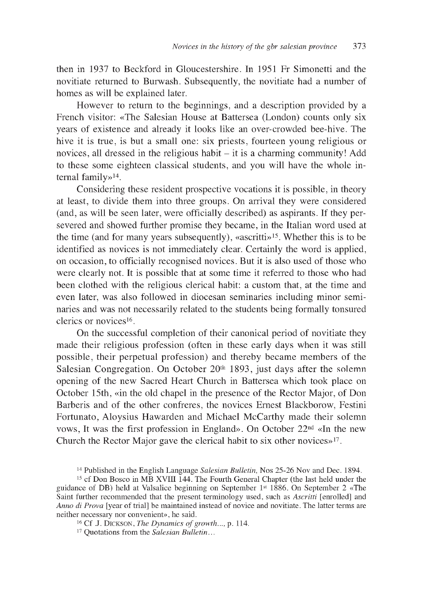then in 1937 to Beckford in Gloucestershire. In 1951 Fr Simonetti and the novitiate returned to Burwash. Subsequently, the novitiate had a number of homes as will be explained later.

However to return to the beginnings, and a description provided by a French visitor: «The Salesian House at Battersea (London) counts only six years of existence and already it looks like an over-crowded bee-hive. The hive it is true, is but a small one: six priests, fourteen young religious or novices, all dressed in the religious habit  $-$  it is a charming community! Add to these some eighteen classical students, and you will have the whole internal family»14.

Considering these resident prospective vocations it is possible, in theory at least, to divide them into three groups. On arrival they were considered (and, as will be seen later, were officially described) as aspirants. If they persevered and showed further promise they became, in the Italian word used at the time (and for many years subsequently), «ascritti»15. Whether this is to be identified as novices is not immediately clear. Certainly the word is applied, on occasion, to officially recognised novices. But it is also used of those who were clearly not. It is possible that at some time it referred to those who had been clothed with the religious clerical habit: a custom that, at the time and even later, was also followed in diocesan seminaries including minor seminaries and was not necessarily related to the students being formally tonsured clerics or novices16.

On the successful completion of their canonical period of novitiate they made their religious profession (often in these early days when it was still possible, their perpetual profession) and thereby became members of the Salesian Congregation. On October 20th 1893, just days after the solemn opening of the new Sacred Heart Church in Battersea which took place on October 15th, «in the old chapel in the presence of the Rector Major, of Don Barberis and of the other confreres, the novices Ernest Blackborow, Festini Fortunato, Aloysius Hawarden and Michael McCarthy made their solemn vows, It was the first profession in England». On October 22nd «In the new Church the Rector Major gave the clerical habit to six other novices»17.

<sup>14</sup> Published in the English Language *Salesian Bulletin,* Nos 25-26 Nov and Dec. 1894.

<sup>15</sup> cf Don Bosco in MB XVIII 144. The Fourth General Chapter (the last held under the guidance of DB) held at Valsalice beginning on September 1st 1886. On September 2 «The Saint further recommended that the present terminology used, such as *Ascritti* [enrolled] and *Anno di Prova* [year of trial] be maintained instead of novice and novitiate. The latter terms are neither necessary nor convenient», he said.

<sup>&</sup>lt;sup>16</sup> Cf J. DICKSON, *The Dynamics of growth...,* p. 114.

<sup>17</sup> Quotations from the *Salesian Bulletin...*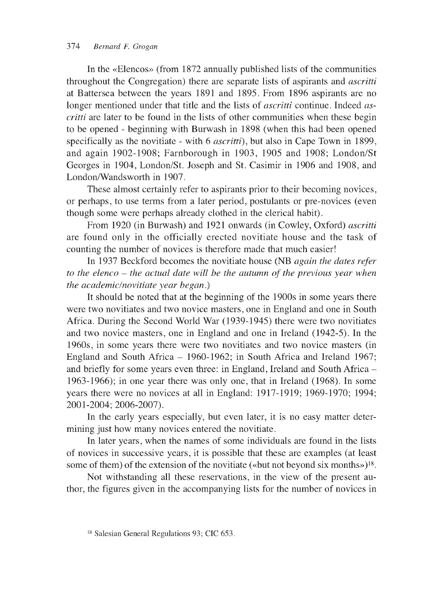In the «Elencos» (from 1872 annually published lists of the communities throughout the Congregation) there are separate lists of aspirants and *ascritti* at Battersea between the years 1891 and 1895. From 1896 aspirants are no longer mentioned under that title and the lists of *ascritti* continue. Indeed *ascritti* are later to be found in the lists of other communities when these begin to be opened - beginning with Burwash in 1898 (when this had been opened specifically as the novitiate - with 6 *ascritti),* but also in Cape Town in 1899, and again 1902-1908; Farnborough in 1903, 1905 and 1908; London/St Georges in 1904, London/St. Joseph and St. Casimir in 1906 and 1908, and London/Wandsworth in 1907.

These almost certainly refer to aspirants prior to their becoming novices, or perhaps, to use terms from a later period, postulants or pre-novices (even though some were perhaps already clothed in the clerical habit).

From 1920 (in Burwash) and 1921 onwards (in Cowley, Oxford) *ascritti* are found only in the officially erected novitiate house and the task of counting the number of novices is therefore made that much easier!

In 1937 Beckford becomes the novitiate house (NB *again the dates refer to the elenco - the actual date will be the autumn of the previous year when the academic/novitiate year began)*

It should be noted that at the beginning of the 1900s in some years there were two novitiates and two novice masters, one in England and one in South Africa. During the Second World War (1939-1945) there were two novitiates and two novice masters, one in England and one in Ireland (1942-5). In the 1960s, in some years there were two novitiates and two novice masters (in England and South Africa - 1960-1962; in South Africa and Ireland 1967; and briefly for some years even three: in England, Ireland and South Africa - 1963-1966); in one year there was only one, that in Ireland (1968). In some years there were no novices at all in England: 1917-1919; 1969-1970; 1994; 2001-2004; 2006-2007).

In the early years especially, but even later, it is no easy matter determining just how many novices entered the novitiate.

In later years, when the names of some individuals are found in the lists of novices in successive years, it is possible that these are examples (at least some of them) of the extension of the novitiate («but not beyond six months»)<sup>18</sup>.

Not withstanding all these reservations, in the view of the present author, the figures given in the accompanying lists for the number of novices in

<sup>18</sup> Salesian General Regulations 93; CIC 653.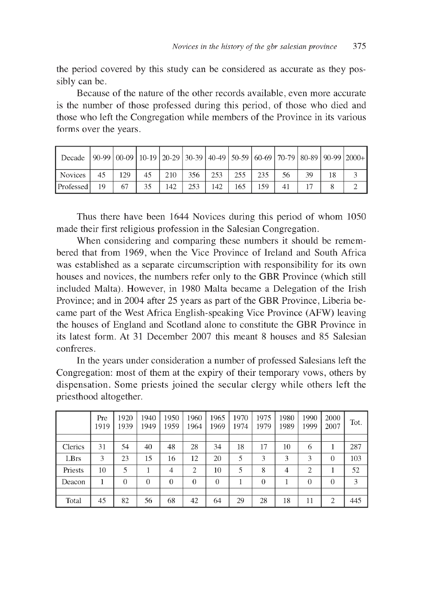the period covered by this study can be considered as accurate as they possibly can be.

Because of the nature of the other records available, even more accurate is the number of those professed during this period, of those who died and those who left the Congregation while members of the Province in its various forms over the years.

| Decade 90-99 00-09 10-19 20-29 30-39 40-49 50-59 60-69 70-79 80-89 90-99 2000+ |    |     |    |     |     |     |     |     |    |  |  |
|--------------------------------------------------------------------------------|----|-----|----|-----|-----|-----|-----|-----|----|--|--|
| Novices                                                                        | 45 | 129 | 45 | 210 | 356 | 253 | 255 | 235 | 56 |  |  |
| Professed                                                                      | 19 | 67  | 35 | 142 | 253 | 142 | 165 | 159 |    |  |  |

Thus there have been 1644 Novices during this period of whom 1050 made their first religious profession in the Salesian Congregation.

When considering and comparing these numbers it should be remembered that from 1969, when the Vice Province of Ireland and South Africa was established as a separate circumscription with responsibility for its own houses and novices, the numbers refer only to the GBR Province (which still included Malta). However, in 1980 Malta became a Delegation of the Irish Province; and in 2004 after 25 years as part of the GBR Province, Liberia became part of the West Africa English-speaking Vice Province (AFW) leaving the houses of England and Scotland alone to constitute the GBR Province in its latest form. At 31 December 2007 this meant 8 houses and 85 Salesian confreres.

In the years under consideration a number of professed Salesians left the Congregation: most of them at the expiry of their temporary vows, others by dispensation. Some priests joined the secular clergy while others left the priesthood altogether.

|         | Pre<br>1919 | 1920<br>1939 | 1940<br>1949 | 1950<br>1959   | 1960<br>1964   | 1965<br>1969 | 1970<br>1974 | 1975<br>1979 | 1980<br>1989   | 1990<br>1999   | 2000<br>2007   | Tot. |
|---------|-------------|--------------|--------------|----------------|----------------|--------------|--------------|--------------|----------------|----------------|----------------|------|
|         |             |              |              |                |                |              |              |              |                |                |                |      |
| Clerics | 31          | 54           | 40           | 48             | 28             | 34           | 18           | 17           | 10             | 6              |                | 287  |
| LBrs    | 3           | 23           | 15           | 16             | 12             | 20           | 5            | 3            | 3              | 3              | $\Omega$       | 103  |
| Priests | 10          | 5            |              | $\overline{4}$ | $\overline{2}$ | 10           | 5            | 8            | $\overline{4}$ | $\overline{2}$ |                | 52   |
| Deacon  |             | $\theta$     | $\theta$     | $\theta$       | $\theta$       | $\Omega$     |              | $\Omega$     |                | $\Omega$       | $\Omega$       | 3    |
|         |             |              |              |                |                |              |              |              |                |                |                |      |
| Total   | 45          | 82           | 56           | 68             | 42             | 64           | 29           | 28           | 18             | 11             | $\overline{2}$ | 445  |